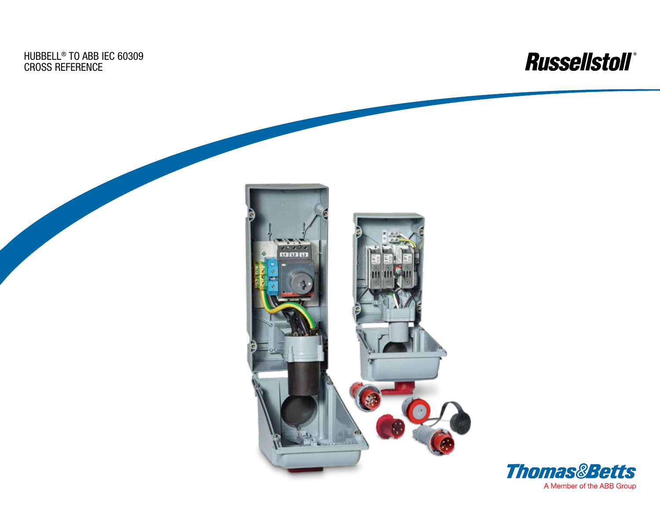Hubbell® TO ABB IEC 60309 Cross Reference



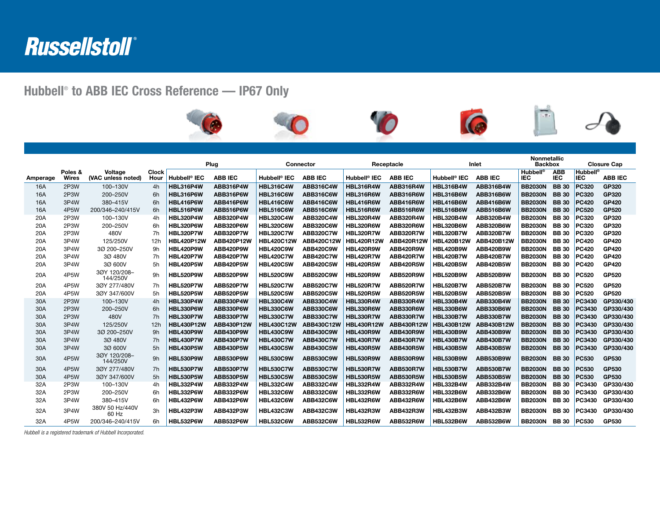## Russellstoll®

## Hubbell® to ABB IEC Cross Reference — IP67 Only



|            |                   |                               |                      |                          |                  |                          |                  |                          |                  |                          |                  | <b>Nonmetallic</b>            |                          |                               |                |
|------------|-------------------|-------------------------------|----------------------|--------------------------|------------------|--------------------------|------------------|--------------------------|------------------|--------------------------|------------------|-------------------------------|--------------------------|-------------------------------|----------------|
|            |                   |                               |                      | Plug                     |                  | Connector                |                  | Receptacle               |                  | Inlet                    |                  | <b>Backbox</b>                |                          | <b>Closure Cap</b>            |                |
| Amperage   | Poles &<br>Wires  | Voltage<br>(VAC unless noted) | <b>Clock</b><br>Hour | Hubbell <sup>®</sup> IEC | <b>ABB IEC</b>   | Hubbell <sup>®</sup> IEC | <b>ABB IEC</b>   | Hubbell <sup>®</sup> IEC | <b>ABB IEC</b>   | Hubbell <sup>®</sup> IEC | <b>ABB IEC</b>   | <b>Hubbell®</b><br><b>IEC</b> | <b>ABB</b><br><b>IEC</b> | <b>Hubbell®</b><br><b>IEC</b> | <b>ABB IEC</b> |
| 16A        | 2P3W              | 100-130V                      | 4h                   | <b>HBL316P4W</b>         | ABB316P4W        | <b>HBL316C4W</b>         | <b>ABB316C4W</b> | <b>HBL316R4W</b>         | ABB316R4W        | <b>HBL316B4W</b>         | <b>ABB316B4W</b> | <b>BB2030N</b>                | <b>BB</b> 30             | <b>PC320</b>                  | GP320          |
| 16A        | 2P3W              | 200-250V                      | 6h                   | HBL316P6W                | ABB316P6W        | <b>HBL316C6W</b>         | <b>ABB316C6W</b> | HBL316R6W                | ABB316R6W        | <b>HBL316B6W</b>         | ABB316B6W        | <b>BB2030N</b>                | <b>BB30</b>              | <b>PC320</b>                  | GP320          |
| 16A        | 3P4W              | 380-415V                      | 6h                   | <b>HBL416P6W</b>         | ABB416P6W        | <b>HBL416C6W</b>         | <b>ABB416C6W</b> | HBL416R6W                | ABB416R6W        | <b>HBL416B6W</b>         | ABB416B6W        | <b>BB2030N</b>                | <b>BB</b> 30             | <b>PC420</b>                  | <b>GP420</b>   |
| <b>16A</b> | 4P <sub>5</sub> W | 200/346-240/415V              | 6h                   | <b>HBL516P6W</b>         | ABB516P6W        | <b>HBL516C6W</b>         | <b>ABB516C6W</b> | HBL516R6W                | ABB516R6W        | <b>HBL516B6W</b>         | ABB516B6W        | <b>BB2030N</b>                | <b>BB30</b>              | <b>PC520</b>                  | <b>GP520</b>   |
| 20A        | 2P3W              | 100-130V                      | 4h                   | <b>HBL320P4W</b>         | ABB320P4W        | <b>HBL320C4W</b>         | <b>ABB320C4W</b> | <b>HBL320R4W</b>         | ABB320R4W        | <b>HBL320B4W</b>         | ABB320B4W        | <b>BB2030N</b>                | <b>BB30</b>              | PC320                         | GP320          |
| 20A        | 2P3W              | 200-250V                      | 6h                   | <b>HBL320P6W</b>         | ABB320P6W        | <b>HBL320C6W</b>         | <b>ABB320C6W</b> | HBL320R6W                | ABB320R6W        | <b>HBL320B6W</b>         | ABB320B6W        | <b>BB2030N</b>                | <b>BB30</b>              | <b>PC320</b>                  | GP320          |
| 20A        | 2P3W              | 480V                          | 7h                   | <b>HBL320P7W</b>         | ABB320P7W        | <b>HBL320C7W</b>         | <b>ABB320C7W</b> | <b>HBL320R7W</b>         | ABB320R7W        | <b>HBL320B7W</b>         | ABB320B7W        | <b>BB2030N</b>                | <b>BB30</b>              | <b>PC320</b>                  | GP320          |
| 20A        | 3P4W              | 125/250V                      | 12h                  | <b>HBL420P12W</b>        | ABB420P12W       | <b>HBL420C12W</b>        | ABB420C12W       | <b>HBL420R12W</b>        | ABB420R12W       | <b>HBL420B12W</b>        | ABB420B12W       | <b>BB2030N</b>                | <b>BB30</b>              | <b>PC420</b>                  | GP420          |
| 20A        | 3P4W              | 3Ø 200-250V                   | 9h                   | <b>HBL420P9W</b>         | ABB420P9W        | <b>HBL420C9W</b>         | ABB420C9W        | <b>HBL420R9W</b>         | ABB420R9W        | <b>HBL420B9W</b>         | ABB420B9W        | <b>BB2030N</b>                | <b>BB30</b>              | <b>PC420</b>                  | GP420          |
| 20A        | 3P4W              | 3Ø 480V                       | 7h                   | <b>HBL420P7W</b>         | ABB420P7W        | <b>HBL420C7W</b>         | <b>ABB420C7W</b> | <b>HBL420R7W</b>         | ABB420R7W        | <b>HBL420B7W</b>         | <b>ABB420B7W</b> | <b>BB2030N</b>                | <b>BB</b> 30             | <b>PC420</b>                  | <b>GP420</b>   |
| 20A        | 3P4W              | 3Ø 600V                       | 5h                   | <b>HBL420P5W</b>         | ABB420P5W        | <b>HBL420C5W</b>         | <b>ABB420C5W</b> | <b>HBL420R5W</b>         | ABB420R5W        | <b>HBL420B5W</b>         | ABB420B5W        | <b>BB2030N</b>                | <b>BB30</b>              | <b>PC420</b>                  | GP420          |
| 20A        | 4P5W              | 30Y 120/208-<br>144/250V      | 9h                   | <b>HBL520P9W</b>         | ABB520P9W        | <b>HBL520C9W</b>         | <b>ABB520C9W</b> | <b>HBL520R9W</b>         | ABB520R9W        | <b>HBL520B9W</b>         | <b>ABB520B9W</b> | <b>BB2030N</b>                | <b>BB</b> 30             | <b>PC520</b>                  | <b>GP520</b>   |
| 20A        | 4P5W              | 30Y 277/480V                  | 7h                   | <b>HBL520P7W</b>         | ABB520P7W        | <b>HBL520C7W</b>         | <b>ABB520C7W</b> | <b>HBL520R7W</b>         | ABB520R7W        | <b>HBL520B7W</b>         | <b>ABB520B7W</b> | <b>BB2030N</b>                | <b>BB30</b>              | <b>PC520</b>                  | GP520          |
| 20A        | 4P <sub>5</sub> W | 30Y 347/600V                  | 5h                   | <b>HBL520P5W</b>         | ABB520P5W        | <b>HBL520C5W</b>         | <b>ABB520C5W</b> | <b>HBL520R5W</b>         | ABB520R5W        | <b>HBL520B5W</b>         | <b>ABB520B5W</b> | <b>BB2030N</b>                | <b>BB30</b>              | <b>PC520</b>                  | GP520          |
| 30A        | 2P3W              | 100-130V                      | 4h                   | <b>HBL330P4W</b>         | <b>ABB330P4W</b> | <b>HBL330C4W</b>         | <b>ABB330C4W</b> | <b>HBL330R4W</b>         | ABB330R4W        | <b>HBL330B4W</b>         | <b>ABB330B4W</b> | <b>BB2030N</b>                | <b>BB30</b>              | PC3430                        | GP330/430      |
| 30A        | 2P3W              | 200-250V                      | 6h                   | <b>HBL330P6W</b>         | ABB330P6W        | <b>HBL330C6W</b>         | <b>ABB330C6W</b> | HBL330R6W                | ABB330R6W        | <b>HBL330B6W</b>         | <b>ABB330B6W</b> | <b>BB2030N</b>                | <b>BB30</b>              | PC3430                        | GP330/430      |
| 30A        | 2P3W              | 480V                          | 7h                   | <b>HBL330P7W</b>         | ABB330P7W        | <b>HBL330C7W</b>         | <b>ABB330C7W</b> | <b>HBL330R7W</b>         | ABB330R7W        | <b>HBL330B7W</b>         | <b>ABB330B7W</b> | <b>BB2030N</b>                | <b>BB30</b>              | PC3430                        | GP330/430      |
| 30A        | 3P4W              | 125/250V                      | 12h                  | <b>HBL430P12W</b>        | ABB430P12W       | <b>HBL430C12W</b>        | ABB430C12W       | <b>HBL430R12W</b>        | ABB430R12W       | <b>HBL430B12W</b>        | ABB430B12W       | <b>BB2030N</b>                | <b>BB</b> 30             | PC3430                        | GP330/430      |
| 30A        | 3P4W              | 3Ø 200-250V                   | 9h                   | <b>HBL430P9W</b>         | ABB430P9W        | <b>HBL430C9W</b>         | <b>ABB430C9W</b> | HBL430R9W                | ABB430R9W        | <b>HBL430B9W</b>         | <b>ABB430B9W</b> | <b>BB2030N</b>                | <b>BB</b> 30             | PC3430                        | GP330/430      |
| 30A        | 3P4W              | 3Ø 480V                       | 7h                   | <b>HBL430P7W</b>         | ABB430P7W        | <b>HBL430C7W</b>         | <b>ABB430C7W</b> | <b>HBL430R7W</b>         | ABB430R7W        | <b>HBL430B7W</b>         | ABB430B7W        | <b>BB2030N</b>                | <b>BB</b> 30             | PC3430                        | GP330/430      |
| 30A        | 3P4W              | 3Ø 600V                       | 5h                   | <b>HBL430P5W</b>         | ABB430P5W        | <b>HBL430C5W</b>         | <b>ABB430C5W</b> | <b>HBL430R5W</b>         | <b>ABB430R5W</b> | <b>HBL430B5W</b>         | <b>ABB430B5W</b> | <b>BB2030N</b>                | <b>BB</b> 30             | PC3430                        | GP330/430      |
| 30A        | 4P5W              | 30Y 120/208-<br>144/250V      | 9h                   | <b>HBL530P9W</b>         | ABB530P9W        | <b>HBL530C9W</b>         | <b>ABB530C9W</b> | HBL530R9W                | ABB530R9W        | <b>HBL530B9W</b>         | <b>ABB530B9W</b> | <b>BB2030N</b>                | <b>BB</b> 30             | <b>PC530</b>                  | GP530          |
| 30A        | 4P5W              | 30Y 277/480V                  | 7h                   | <b>HBL530P7W</b>         | ABB530P7W        | <b>HBL530C7W</b>         | <b>ABB530C7W</b> | <b>HBL530R7W</b>         | ABB530R7W        | <b>HBL530B7W</b>         | <b>ABB530B7W</b> | <b>BB2030N</b>                | <b>BB30</b>              | <b>PC530</b>                  | GP530          |
| 30A        | 4P <sub>5</sub> W | 3ØY 347/600V                  | 5h                   | <b>HBL530P5W</b>         | <b>ABB530P5W</b> | <b>HBL530C5W</b>         | <b>ABB530C5W</b> | <b>HBL530R5W</b>         | ABB530R5W        | <b>HBL530B5W</b>         | <b>ABB530B5W</b> | <b>BB2030N</b>                | <b>BB</b> 30             | <b>PC530</b>                  | GP530          |
| 32A        | 2P3W              | 100-130V                      | 4h                   | <b>HBL332P4W</b>         | ABB332P4W        | <b>HBL332C4W</b>         | <b>ABB332C4W</b> | <b>HBL332R4W</b>         | ABB332R4W        | <b>HBL332B4W</b>         | ABB332B4W        | <b>BB2030N</b>                | <b>BB30</b>              | PC3430                        | GP330/430      |
| 32A        | 2P3W              | 200-250V                      | 6h                   | <b>HBL332P6W</b>         | ABB332P6W        | <b>HBL332C6W</b>         | <b>ABB332C6W</b> | HBL332R6W                | ABB332R6W        | <b>HBL332B6W</b>         | <b>ABB332B6W</b> | <b>BB2030N</b>                | <b>BB30</b>              | PC3430                        | GP330/430      |
| 32A        | 3P4W              | 380-415V                      | 6h                   | <b>HBL432P6W</b>         | ABB432P6W        | <b>HBL432C6W</b>         | <b>ABB432C6W</b> | <b>HBL432R6W</b>         | ABB432R6W        | <b>HBL432B6W</b>         | <b>ABB432B6W</b> | <b>BB2030N</b>                | <b>BB30</b>              | PC3430                        | GP330/430      |
| 32A        | 3P4W              | 380V 50 Hz/440V<br>60 Hz      | 3h                   | <b>HBL432P3W</b>         | ABB432P3W        | <b>HBL432C3W</b>         | <b>ABB432C3W</b> | <b>HBL432R3W</b>         | ABB432R3W        | <b>HBL432B3W</b>         | ABB432B3W        | <b>BB2030N</b>                | <b>BB30</b>              | PC3430                        | GP330/430      |
| 32A        | 4P5W              | 200/346-240/415V              | 6h                   | <b>HBL532P6W</b>         | ABB532P6W        | <b>HBL532C6W</b>         | <b>ABB532C6W</b> | <b>HBL532R6W</b>         | ABB532R6W        | <b>HBL532B6W</b>         | <b>ABB532B6W</b> | <b>BB2030N</b>                | <b>BB</b> 30             | <b>PC530</b>                  | GP530          |

*Hubbell is a registered trademark of Hubbell Incorporated.*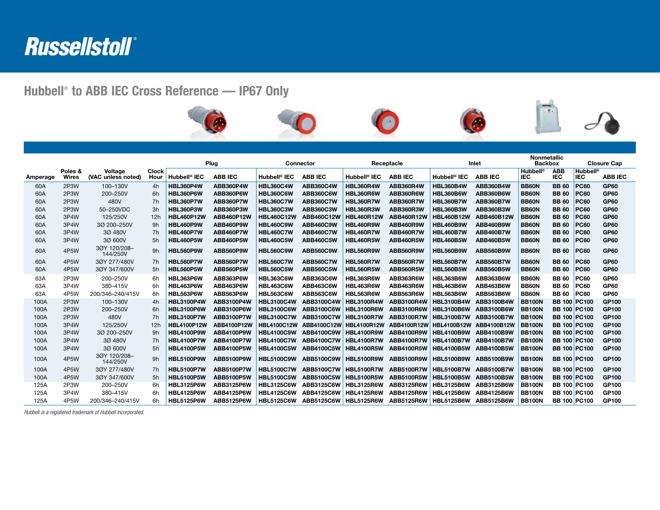

## Hubbell® to ABB IEC Cross Reference — IP67 Only



|          |              |                          |              | Plug                     |                   | Connector                |                   | Receptacle               |                   | Inlet                    |                   | <b>Nonmetallic</b><br><b>Backbox</b> |              | <b>Closure Cap</b>  |                |
|----------|--------------|--------------------------|--------------|--------------------------|-------------------|--------------------------|-------------------|--------------------------|-------------------|--------------------------|-------------------|--------------------------------------|--------------|---------------------|----------------|
|          | Poles &      | Voltage                  | <b>Clock</b> |                          |                   |                          |                   |                          |                   |                          |                   | <b>Hubbell®</b>                      | <b>ABB</b>   | <b>Hubbell®</b>     |                |
| Amperage | <b>Wires</b> | (VAC unless noted)       | Hour         | Hubbell <sup>®</sup> IEC | <b>ABB IEC</b>    | Hubbell <sup>®</sup> IEC | <b>ABB IEC</b>    | Hubbell <sup>®</sup> IEC | <b>ABB IEC</b>    | Hubbell <sup>®</sup> IEC | <b>ABB IEC</b>    | IEC                                  | <b>IEC</b>   | <b>IEC</b>          | <b>ABB IEC</b> |
| 60A      | 2P3W         | 100-130V                 | 4h           | <b>HBL360P4W</b>         | ABB360P4W         | <b>HBL360C4W</b>         | <b>ABB360C4W</b>  | <b>HBL360R4W</b>         | ABB360R4W         | <b>HBL360B4W</b>         | <b>ABB360B4W</b>  | <b>BB60N</b>                         | <b>BB</b> 60 | <b>PC60</b>         | GP60           |
| 60A      | 2P3W         | 200-250V                 | 6h           | HBL360P6W                | ABB360P6W         | <b>HBL360C6W</b>         | <b>ABB360C6W</b>  | <b>HBL360R6W</b>         | ABB360R6W         | <b>HBL360B6W</b>         | ABB360B6W         | <b>BB60N</b>                         | <b>BB</b> 60 | <b>PC60</b>         | GP60           |
| 60A      | 2P3W         | 480V                     | 7h           | <b>HBL360P7W</b>         | ABB360P7W         | <b>HBL360C7W</b>         | <b>ABB360C7W</b>  | <b>HBL360R7W</b>         | ABB360R7W         | <b>HBL360B7W</b>         | ABB360B7W         | <b>BB60N</b>                         | <b>BB</b> 60 | <b>PC60</b>         | GP60           |
| 60A      | 2P3W         | 50-250VDC                | 3h           | <b>HBL360P3W</b>         | ABB360P3W         | <b>HBL360C3W</b>         | <b>ABB360C3W</b>  | <b>HBL360R3W</b>         | ABB360R3W         | <b>HBL360B3W</b>         | ABB360B3W         | <b>BB60N</b>                         | <b>BB 60</b> | <b>PC60</b>         | <b>GP60</b>    |
| 60A      | 3P4W         | 125/250V                 | 12h          | <b>HBL460P12W</b>        | ABB460P12W        | <b>HBL460C12W</b>        | ABB460C12W        | <b>HBL460R12W</b>        | ABB460R12W        | <b>HBL460B12W</b>        | ABB460B12W        | <b>BB60N</b>                         | <b>BB 60</b> | <b>PC60</b>         | GP60           |
| 60A      | 3P4W         | 3Ø 200-250V              | 9h           | <b>HBL460P9W</b>         | ABB460P9W         | <b>HBL460C9W</b>         | <b>ABB460C9W</b>  | <b>HBL460R9W</b>         | ABB460R9W         | <b>HBL460B9W</b>         | ABB460B9W         | <b>BB60N</b>                         | <b>BB 60</b> | <b>PC60</b>         | GP60           |
| 60A      | 3P4W         | 3Ø 480V                  | 7h           | <b>HBL460P7W</b>         | ABB460P7W         | <b>HBL460C7W</b>         | <b>ABB460C7W</b>  | <b>HBL460R7W</b>         | ABB460R7W         | <b>HBL460B7W</b>         | ABB460B7W         | <b>BB60N</b>                         | <b>BB 60</b> | <b>PC60</b>         | <b>GP60</b>    |
| 60A      | 3P4W         | 3Ø 600V                  | 5h           | <b>HBL460P5W</b>         | ABB460P5W         | <b>HBL460C5W</b>         | <b>ABB460C5W</b>  | <b>HBL460R5W</b>         | ABB460R5W         | <b>HBL460B5W</b>         | ABB460B5W         | <b>BB60N</b>                         | <b>BB 60</b> | <b>PC60</b>         | GP60           |
| 60A      | 4P5W         | 30Y 120/208-<br>144/250V | 9h           | <b>HBL560P9W</b>         | ABB560P9W         | <b>HBL560C9W</b>         | <b>ABB560C9W</b>  | <b>HBL560R9W</b>         | ABB560R9W         | <b>HBL560B9W</b>         | ABB560B9W         | <b>BB60N</b>                         | <b>BB</b> 60 | <b>PC60</b>         | GP60           |
| 60A      | 4P5W         | 30Y 277/480V             | 7h           | <b>HBL560P7W</b>         | ABB560P7W         | <b>HBL560C7W</b>         | <b>ABB560C7W</b>  | <b>HBL560R7W</b>         | ABB560R7W         | <b>HBL560B7W</b>         | ABB560B7W         | <b>BB60N</b>                         | <b>BB 60</b> | <b>PC60</b>         | <b>GP60</b>    |
| 60A      | 4P5W         | 3ØY 347/600V             | 5h           | <b>HBL560P5W</b>         | ABB560P5W         | <b>HBL560C5W</b>         | <b>ABB560C5W</b>  | <b>HBL560R5W</b>         | ABB560R5W         | <b>HBL560B5W</b>         | <b>ABB560B5W</b>  | <b>BB60N</b>                         | <b>BB</b> 60 | <b>PC60</b>         | <b>GP60</b>    |
| 63A      | 2P3W         | 200-250V                 | 6h           | HBL363P6W                | ABB363P6W         | <b>HBL363C6W</b>         | <b>ABB363C6W</b>  | <b>HBL363R6W</b>         | ABB363R6W         | <b>HBL363B6W</b>         | ABB363B6W         | <b>BB60N</b>                         | <b>BB</b> 60 | <b>PC60</b>         | <b>GP60</b>    |
| 63A      | 3P4W         | 380-415V                 | 6h           | <b>HBL463P6W</b>         | ABB463P6W         | <b>HBL463C6W</b>         | <b>ABB463C6W</b>  | <b>HBL463R6W</b>         | ABB463R6W         | <b>HBL463B6W</b>         | ABB463B6W         | BB60N                                | <b>BB</b> 60 | <b>PC60</b>         | GP60           |
| 63A      | 4P5W         | 200/346-240/415V         | 6h           | HBL563P6W                | ABB563P6W         | <b>HBL563C6W</b>         | <b>ABB563C6W</b>  | <b>HBL563R6W</b>         | ABB563R6W         | <b>HBL563B6W</b>         | ABB563B6W         | BB60N                                | <b>BB 60</b> | <b>PC60</b>         | <b>GP60</b>    |
| 100A     | 2P3W         | 100-130V                 | 4h           | <b>HBL3100P4W</b>        | ABB3100P4W        | <b>HBL3100C4W</b>        | ABB3100C4W        | <b>HBL3100R4W</b>        | ABB3100R4W        | <b>HBL3100B4W</b>        | ABB3100B4W        | <b>BB100N</b>                        |              | <b>BB 100 PC100</b> | GP100          |
| 100A     | 2P3W         | 200-250V                 | 6h           | <b>HBL3100P6W</b>        | ABB3100P6W        | <b>HBL3100C6W</b>        | ABB3100C6W        | <b>HBL3100R6W</b>        | <b>ABB3100R6W</b> | <b>HBL3100B6W</b>        | ABB3100B6W        | <b>BB100N</b>                        |              | <b>BB 100 PC100</b> | GP100          |
| 100A     | 2P3W         | 480V                     | 7h           | <b>HBL3100P7W</b>        | ABB3100P7W        | <b>HBL3100C7W</b>        | ABB3100C7W        | <b>HBL3100R7W</b>        | ABB3100R7W        | <b>HBL3100B7W</b>        | <b>ABB3100B7W</b> | <b>BB100N</b>                        |              | <b>BB 100 PC100</b> | GP100          |
| 100A     | 3P4W         | 125/250V                 | 12h          | <b>HBL4100P12W</b>       | ABB4100P12W       | <b>HBL4100C12W</b>       | ABB4100C12W       | <b>HBL4100R12W</b>       | ABB4100R12W       | <b>HBL4100B12W</b>       | ABB4100B12W       | <b>BB100N</b>                        |              | <b>BB 100 PC100</b> | GP100          |
| 100A     | 3P4W         | 3Ø 200-250V              | 9h           | <b>HBL4100P9W</b>        | <b>ABB4100P9W</b> | <b>HBL4100C9W</b>        | ABB4100C9W        | <b>HBL4100R9W</b>        | ABB4100R9W        | <b>HBL4100B9W</b>        | ABB4100B9W        | <b>BB100N</b>                        |              | <b>BB 100 PC100</b> | GP100          |
| 100A     | 3P4W         | 3Ø 480V                  | 7h           | <b>HBL4100P7W</b>        | <b>ABB4100P7W</b> | <b>HBL4100C7W</b>        | <b>ABB4100C7W</b> | <b>HBL4100R7W</b>        | <b>ABB4100R7W</b> | <b>HBL4100B7W</b>        | <b>ABB4100B7W</b> | <b>BB100N</b>                        |              | <b>BB 100 PC100</b> | GP100          |
| 100A     | 3P4W         | 3Ø 600V                  | 5h           | <b>HBL4100P5W</b>        | ABB4100P5W        | <b>HBL4100C5W</b>        | ABB4100C5W        | <b>HBL4100R5W</b>        | <b>ABB4100R5W</b> | <b>HBL4100B5W</b>        | <b>ABB4100B5W</b> | <b>BB100N</b>                        |              | <b>BB 100 PC100</b> | GP100          |
| 100A     | 4P5W         | 30Y 120/208-<br>144/250V | 9h           | <b>HBL5100P9W</b>        | ABB5100P9W        | <b>HBL5100C9W</b>        | ABB5100C9W        | <b>HBL5100R9W</b>        | ABB5100R9W        | <b>HBL5100B9W</b>        | ABB5100B9W        | <b>BB100N</b>                        |              | <b>BB 100 PC100</b> | GP100          |
| 100A     | 4P5W         | 30Y 277/480V             | 7h           | <b>HBL5100P7W</b>        | ABB5100P7W        | <b>HBL5100C7W</b>        | <b>ABB5100C7W</b> | <b>HBL5100R7W</b>        | <b>ABB5100R7W</b> | <b>HBL5100B7W</b>        | <b>ABB5100B7W</b> | <b>BB100N</b>                        |              | <b>BB 100 PC100</b> | GP100          |
| 100A     | 4P5W         | 3ØY 347/600V             | 5h           | <b>HBL5100P5W</b>        | <b>ABB5100P5W</b> | <b>HBL5100C5W</b>        | ABB5100C5W        | <b>HBL5100R5W</b>        | <b>ABB5100R5W</b> | <b>HBL5100B5W</b>        | <b>ABB5100B5W</b> | <b>BB100N</b>                        |              | <b>BB 100 PC100</b> | <b>GP100</b>   |
| 125A     | 2P3W         | 200-250V                 | 6h           | <b>HBL3125P6W</b>        | ABB3125P6W        | <b>HBL3125C6W</b>        | ABB3125C6W        | <b>HBL3125R6W</b>        | ABB3125R6W        | <b>HBL3125B6W</b>        | ABB3125B6W        | <b>BB100N</b>                        |              | <b>BB 100 PC100</b> | GP100          |
| 125A     | 3P4W         | 380-415V                 | 6h           | <b>HBL4125P6W</b>        | ABB4125P6W        | <b>HBL4125C6W</b>        | ABB4125C6W        | <b>HBL4125R6W</b>        | ABB4125R6W        | <b>HBL4125B6W</b>        | ABB4125B6W        | <b>BB100N</b>                        |              | <b>BB 100 PC100</b> | GP100          |
| 125A     | 4P5W         | 200/346-240/415V         | 6h           | <b>HBL5125P6W</b>        | ABB5125P6W        | <b>HBL5125C6W</b>        | ABB5125C6W        | <b>HBL5125R6W</b>        | ABB5125R6W        | <b>HBL5125B6W</b>        | ABB5125B6W        | <b>BB100N</b>                        |              | <b>BB 100 PC100</b> | GP100          |

*Hubbell is a registered trademark of Hubbell Incorporated.*